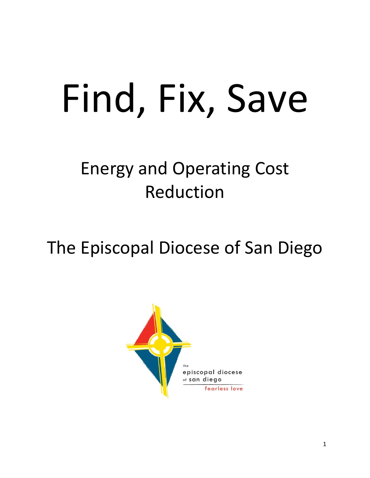# Find, Fix, Save

# Energy and Operating Cost Reduction

# The Episcopal Diocese of San Diego

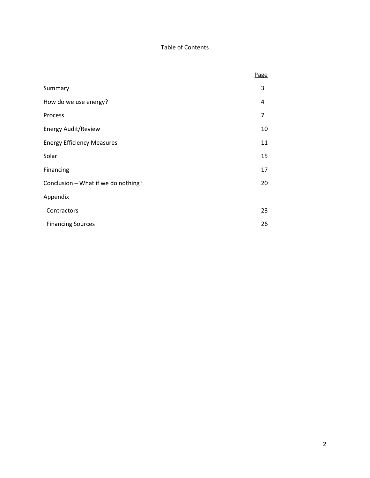#### Table of Contents

|                                     | Page           |
|-------------------------------------|----------------|
| Summary                             | 3              |
| How do we use energy?               | 4              |
| Process                             | $\overline{7}$ |
| <b>Energy Audit/Review</b>          | 10             |
| <b>Energy Efficiency Measures</b>   | 11             |
| Solar                               | 15             |
| Financing                           | 17             |
| Conclusion - What if we do nothing? |                |
| Appendix                            |                |
| Contractors                         | 23             |
| <b>Financing Sources</b>            | 26             |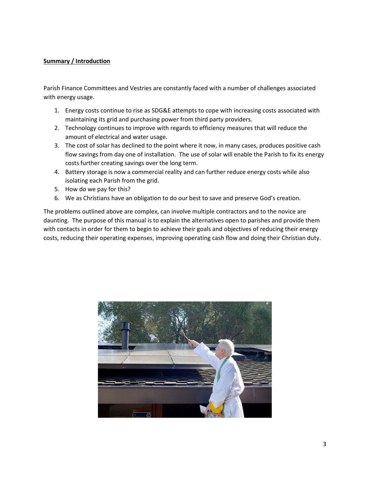#### **Summary / Introduction**

Parish Finance Committees and Vestries are constantly faced with a number of challenges associated with energy usage.

- 1. Energy costs continue to rise as SDG&E attempts to cope with increasing costs associated with maintaining its grid and purchasing power from third party providers.
- 2. Technology continues to improve with regards to efficiency measures that will reduce the amount of electrical and water usage.
- 3. The cost of solar has declined to the point where it now, in many cases, produces positive cash flow savings from day one of installation. The use of solar will enable the Parish to fix its energy costs further creating savings over the long term.
- 4. Battery storage is now a commercial reality and can further reduce energy costs while also isolating each Parish from the grid.
- 5. How do we pay for this?
- 6. We as Christians have an obligation to do our best to save and preserve God's creation.

The problems outlined above are complex, can involve multiple contractors and to the novice are daunting. The purpose of this manual is to explain the alternatives open to parishes and provide them with contacts in order for them to begin to achieve their goals and objectives of reducing their energy costs, reducing their operating expenses, improving operating cash flow and doing their Christian duty.

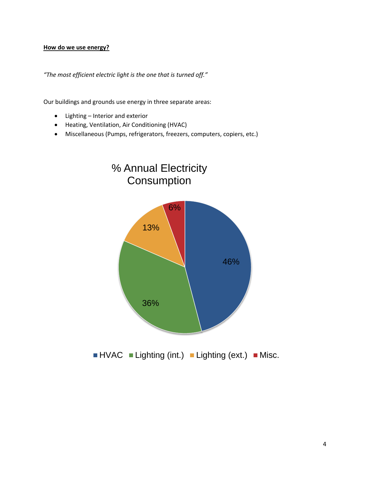#### **How do we use energy?**

*"The most efficient electric light is the one that is turned off."*

Our buildings and grounds use energy in three separate areas:

- Lighting Interior and exterior
- Heating, Ventilation, Air Conditioning (HVAC)
- Miscellaneous (Pumps, refrigerators, freezers, computers, copiers, etc.)

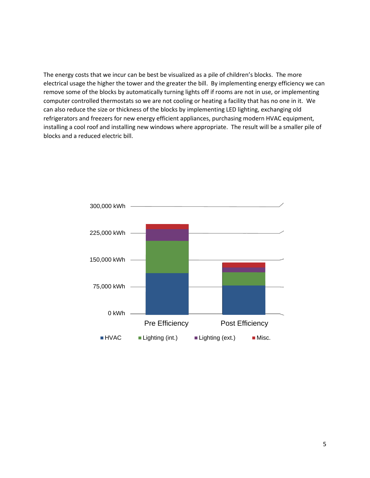The energy costs that we incur can be best be visualized as a pile of children's blocks. The more electrical usage the higher the tower and the greater the bill. By implementing energy efficiency we can remove some of the blocks by automatically turning lights off if rooms are not in use, or implementing computer controlled thermostats so we are not cooling or heating a facility that has no one in it. We can also reduce the size or thickness of the blocks by implementing LED lighting, exchanging old refrigerators and freezers for new energy efficient appliances, purchasing modern HVAC equipment, installing a cool roof and installing new windows where appropriate. The result will be a smaller pile of blocks and a reduced electric bill.

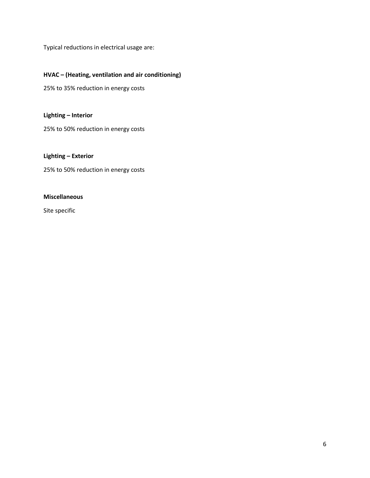Typical reductions in electrical usage are:

#### **HVAC – (Heating, ventilation and air conditioning)**

25% to 35% reduction in energy costs

**Lighting – Interior**

25% to 50% reduction in energy costs

**Lighting – Exterior**

25% to 50% reduction in energy costs

#### **Miscellaneous**

Site specific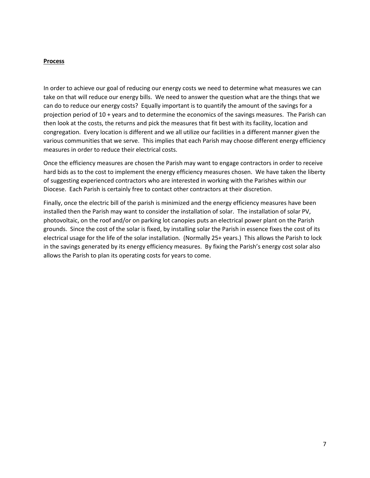#### **Process**

In order to achieve our goal of reducing our energy costs we need to determine what measures we can take on that will reduce our energy bills. We need to answer the question what are the things that we can do to reduce our energy costs? Equally important is to quantify the amount of the savings for a projection period of 10 + years and to determine the economics of the savings measures. The Parish can then look at the costs, the returns and pick the measures that fit best with its facility, location and congregation. Every location is different and we all utilize our facilities in a different manner given the various communities that we serve. This implies that each Parish may choose different energy efficiency measures in order to reduce their electrical costs.

Once the efficiency measures are chosen the Parish may want to engage contractors in order to receive hard bids as to the cost to implement the energy efficiency measures chosen. We have taken the liberty of suggesting experienced contractors who are interested in working with the Parishes within our Diocese. Each Parish is certainly free to contact other contractors at their discretion.

Finally, once the electric bill of the parish is minimized and the energy efficiency measures have been installed then the Parish may want to consider the installation of solar. The installation of solar PV, photovoltaic, on the roof and/or on parking lot canopies puts an electrical power plant on the Parish grounds. Since the cost of the solar is fixed, by installing solar the Parish in essence fixes the cost of its electrical usage for the life of the solar installation. (Normally 25+ years.) This allows the Parish to lock in the savings generated by its energy efficiency measures. By fixing the Parish's energy cost solar also allows the Parish to plan its operating costs for years to come.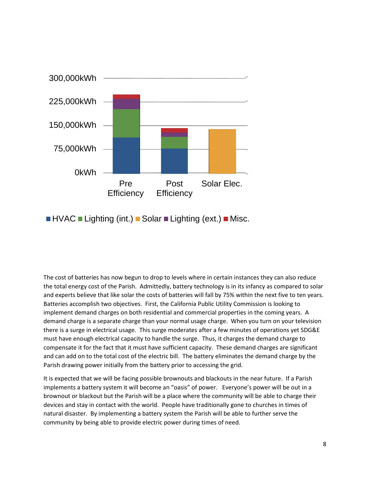

 $\blacksquare$  HVAC  $\blacksquare$  Lighting (int.)  $\blacksquare$  Solar  $\blacksquare$  Lighting (ext.)  $\blacksquare$  Misc.

The cost of batteries has now begun to drop to levels where in certain instances they can also reduce the total energy cost of the Parish. Admittedly, battery technology is in its infancy as compared to solar and experts believe that like solar the costs of batteries will fall by 75% within the next five to ten years. Batteries accomplish two objectives. First, the California Public Utility Commission is looking to implement demand charges on both residential and commercial properties in the coming years. A demand charge is a separate charge than your normal usage charge. When you turn on your television there is a surge in electrical usage. This surge moderates after a few minutes of operations yet SDG&E must have enough electrical capacity to handle the surge. Thus, it charges the demand charge to compensate it for the fact that it must have sufficient capacity. These demand charges are significant and can add on to the total cost of the electric bill. The battery eliminates the demand charge by the Parish drawing power initially from the battery prior to accessing the grid.

It is expected that we will be facing possible brownouts and blackouts in the near future. If a Parish implements a battery system it will become an "oasis" of power. Everyone's power will be out in a brownout or blackout but the Parish will be a place where the community will be able to charge their devices and stay in contact with the world. People have traditionally gone to churches in times of natural disaster. By implementing a battery system the Parish will be able to further serve the community by being able to provide electric power during times of need.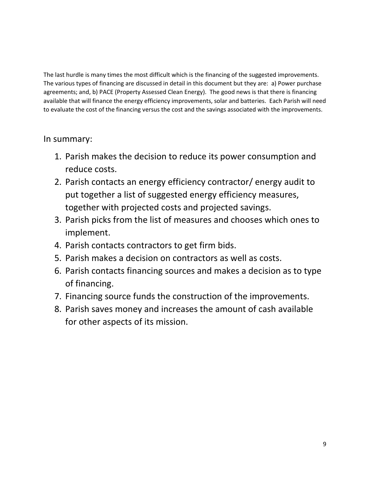The last hurdle is many times the most difficult which is the financing of the suggested improvements. The various types of financing are discussed in detail in this document but they are: a) Power purchase agreements; and, b) PACE (Property Assessed Clean Energy). The good news is that there is financing available that will finance the energy efficiency improvements, solar and batteries. Each Parish will need to evaluate the cost of the financing versus the cost and the savings associated with the improvements.

## In summary:

- 1. Parish makes the decision to reduce its power consumption and reduce costs.
- 2. Parish contacts an energy efficiency contractor/ energy audit to put together a list of suggested energy efficiency measures, together with projected costs and projected savings.
- 3. Parish picks from the list of measures and chooses which ones to implement.
- 4. Parish contacts contractors to get firm bids.
- 5. Parish makes a decision on contractors as well as costs.
- 6. Parish contacts financing sources and makes a decision as to type of financing.
- 7. Financing source funds the construction of the improvements.
- 8. Parish saves money and increases the amount of cash available for other aspects of its mission.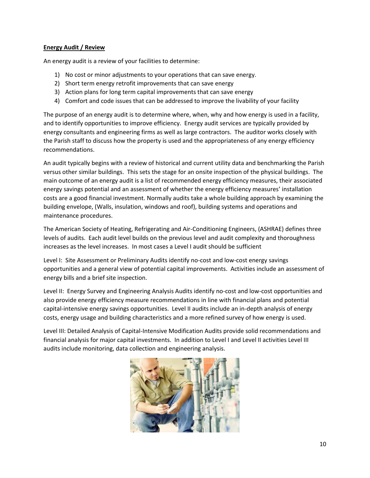#### **Energy Audit / Review**

An energy audit is a review of your facilities to determine:

- 1) No cost or minor adjustments to your operations that can save energy.
- 2) Short term energy retrofit improvements that can save energy
- 3) Action plans for long term capital improvements that can save energy
- 4) Comfort and code issues that can be addressed to improve the livability of your facility

The purpose of an energy audit is to determine where, when, why and how energy is used in a facility, and to identify opportunities to improve efficiency. Energy audit services are typically provided by energy consultants and engineering firms as well as large contractors. The auditor works closely with the Parish staff to discuss how the property is used and the appropriateness of any energy efficiency recommendations.

An audit typically begins with a review of historical and current utility data and benchmarking the Parish versus other similar buildings. This sets the stage for an onsite inspection of the physical buildings. The main outcome of an energy audit is a list of recommended energy efficiency measures, their associated energy savings potential and an assessment of whether the energy efficiency measures' installation costs are a good financial investment. Normally audits take a whole building approach by examining the building envelope, (Walls, insulation, windows and roof), building systems and operations and maintenance procedures.

The American Society of Heating, Refrigerating and Air-Conditioning Engineers, (ASHRAE) defines three levels of audits. Each audit level builds on the previous level and audit complexity and thoroughness increases as the level increases. In most cases a Level I audit should be sufficient

Level I: Site Assessment or Preliminary Audits identify no-cost and low-cost energy savings opportunities and a general view of potential capital improvements. Activities include an assessment of energy bills and a brief site inspection.

Level II: Energy Survey and Engineering Analysis Audits identify no-cost and low-cost opportunities and also provide energy efficiency measure recommendations in line with financial plans and potential capital-intensive energy savings opportunities. Level II audits include an in-depth analysis of energy costs, energy usage and building characteristics and a more refined survey of how energy is used.

Level III: Detailed Analysis of Capital-Intensive Modification Audits provide solid recommendations and financial analysis for major capital investments. In addition to Level I and Level II activities Level III audits include monitoring, data collection and engineering analysis.

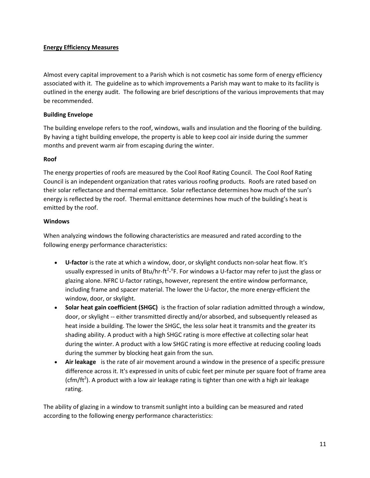#### **Energy Efficiency Measures**

Almost every capital improvement to a Parish which is not cosmetic has some form of energy efficiency associated with it. The guideline as to which improvements a Parish may want to make to its facility is outlined in the energy audit. The following are brief descriptions of the various improvements that may be recommended.

#### **Building Envelope**

The building envelope refers to the roof, windows, walls and insulation and the flooring of the building. By having a tight building envelope, the property is able to keep cool air inside during the summer months and prevent warm air from escaping during the winter.

#### **Roof**

The energy properties of roofs are measured by the Cool Roof Rating Council. The Cool Roof Rating Council is an independent organization that rates various roofing products. Roofs are rated based on their solar reflectance and thermal emittance. Solar reflectance determines how much of the sun's energy is reflected by the roof. Thermal emittance determines how much of the building's heat is emitted by the roof.

#### **Windows**

When analyzing windows the following characteristics are measured and rated according to the following energy performance characteristics:

- **U-factor** is the rate at which a window, door, or skylight conducts non-solar heat flow. It's usually expressed in units of Btu/hr-ft<sup>2</sup>-°F. For windows a U-factor may refer to just the glass or glazing alone. NFRC U-factor ratings, however, represent the entire window performance, including frame and spacer material. The lower the U-factor, the more energy-efficient the window, door, or skylight.
- **Solar heat gain coefficient (SHGC)** is the fraction of solar radiation admitted through a window, door, or skylight -- either transmitted directly and/or absorbed, and subsequently released as heat inside a building. The lower the SHGC, the less solar heat it transmits and the greater its shading ability. A product with a high SHGC rating is more effective at collecting solar heat during the winter. A product with a low SHGC rating is more effective at reducing cooling loads during the summer by blocking heat gain from the sun.
- **Air leakage** is the rate of air movement around a window in the presence of a specific pressure difference across it. It's expressed in units of cubic feet per minute per square foot of frame area (cfm/ft<sup>2</sup>). A product with a low air leakage rating is tighter than one with a high air leakage rating.

The ability of glazing in a window to transmit sunlight into a building can be measured and rated according to the following energy performance characteristics: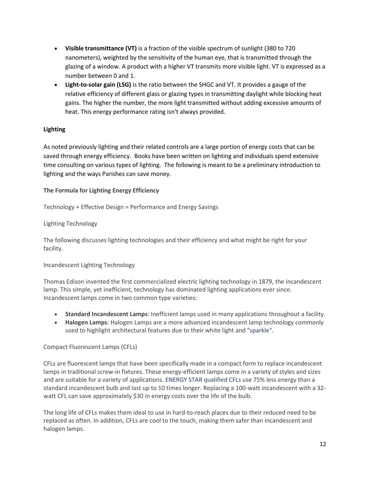- **Visible transmittance (VT)** is a fraction of the visible spectrum of sunlight (380 to 720 nanometers), weighted by the sensitivity of the human eye, that is transmitted through the glazing of a window. A product with a higher VT transmits more visible light. VT is expressed as a number between 0 and 1.
- **Light-to-solar gain (LSG)** is the ratio between the SHGC and VT. It provides a gauge of the relative efficiency of different glass or glazing types in transmitting daylight while blocking heat gains. The higher the number, the more light transmitted without adding excessive amounts of heat. This energy performance rating isn't always provided.

#### **Lighting**

As noted previously lighting and their related controls are a large portion of energy costs that can be saved through energy efficiency. Books have been written on lighting and individuals spend extensive time consulting on various types of lighting. The following is meant to be a preliminary introduction to lighting and the ways Parishes can save money.

#### **The Formula for Lighting Energy Efficiency**

Technology + Effective Design = Performance and Energy Savings

#### Lighting Technology

The following discusses lighting technologies and their efficiency and what might be right for your facility.

#### Incandescent Lighting Technology

Thomas Edison invented the first commercialized electric lighting technology in 1879, the incandescent lamp. This simple, yet inefficient, technology has dominated lighting applications ever since. Incandescent lamps come in two common type varieties:

- **Standard Incandescent Lamps**: Inefficient lamps used in many applications throughout a facility.
- **Halogen Lamps**: Halogen Lamps are a more advanced incandescent lamp technology commonly used to highlight architectural features due to their white light and ["sparkle".](http://www.energystar.gov/ia/partners/manuf_res/CFL_PRG_FINAL.pdf)

#### Compact Fluorescent Lamps (CFLs)

CFLs are fluorescent lamps that have been specifically made in a compact form to replace incandescent lamps in traditional screw-in fixtures. These energy-efficient lamps come in a variety of styles and sizes and are suitable for a variety of applications[. ENERGY STAR qualified CFLs u](http://www.energystar.gov/index.cfm?fuseaction=find_a_product.showProductGroup&pgw_code=LB)se 75% less energy than a standard incandescent bulb and last up to 10 times longer. Replacing a 100-watt incandescent with a 32 watt CFL can save approximately \$30 in energy costs over the life of the bulb.

The long life of CFLs makes them ideal to use in hard-to-reach places due to their reduced need to be replaced as often. In addition, CFLs are cool to the touch, making them safer than incandescent and halogen lamps.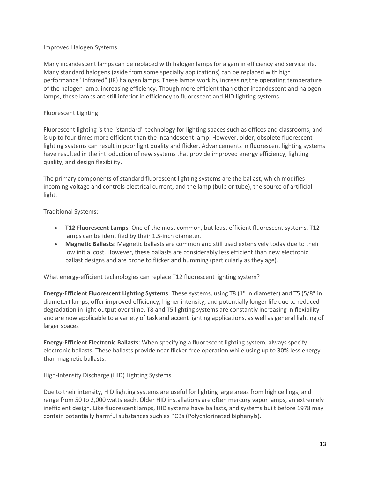#### Improved Halogen Systems

Many incandescent lamps can be replaced with halogen lamps for a gain in efficiency and service life. Many standard halogens (aside from some specialty applications) can be replaced with high performance "Infrared" (IR) halogen lamps. These lamps work by increasing the operating temperature of the halogen lamp, increasing efficiency. Though more efficient than other incandescent and halogen lamps, these lamps are still inferior in efficiency to fluorescent and HID lighting systems.

#### Fluorescent Lighting

Fluorescent lighting is the "standard" technology for lighting spaces such as offices and classrooms, and is up to four times more efficient than the incandescent lamp. However, older, obsolete fluorescent lighting systems can result in poor light quality and flicker. Advancements in fluorescent lighting systems have resulted in the introduction of new systems that provide improved energy efficiency, lighting quality, and design flexibility.

The primary components of standard fluorescent lighting systems are the ballast, which modifies incoming voltage and controls electrical current, and the lamp (bulb or tube), the source of artificial light.

Traditional Systems:

- **T12 Fluorescent Lamps**: One of the most common, but least efficient fluorescent systems. T12 lamps can be identified by their 1.5-inch diameter.
- **Magnetic Ballasts**: Magnetic ballasts are common and still used extensively today due to their low initial cost. However, these ballasts are considerably less efficient than new electronic ballast designs and are prone to flicker and humming (particularly as they age).

What energy-efficient technologies can replace T12 fluorescent lighting system?

**Energy-Efficient Fluorescent Lighting Systems**: These systems, using T8 (1" in diameter) and T5 (5/8" in diameter) lamps, offer improved efficiency, higher intensity, and potentially longer life due to reduced degradation in light output over time. T8 and T5 lighting systems are constantly increasing in flexibility and are now applicable to a variety of task and accent lighting applications, as well as general lighting of larger spaces

**Energy-Efficient Electronic Ballasts**: When specifying a fluorescent lighting system, always specify electronic ballasts. These ballasts provide near flicker-free operation while using up to 30% less energy than magnetic ballasts.

High-Intensity Discharge (HID) Lighting Systems

Due to their intensity, HID lighting systems are useful for lighting large areas from high ceilings, and range from 50 to 2,000 watts each. Older HID installations are often mercury vapor lamps, an extremely inefficient design. Like fluorescent lamps, HID systems have ballasts, and systems built before 1978 may contain potentially harmful substances such as PCBs (Polychlorinated biphenyls).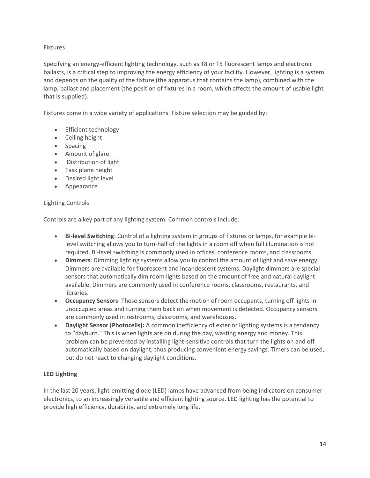#### Fixtures

Specifying an energy-efficient lighting technology, such as T8 or T5 fluorescent lamps and electronic ballasts, is a critical step to improving the energy efficiency of your facility. However, lighting is a system and depends on the quality of the fixture (the apparatus that contains the lamp), combined with the lamp, ballast and placement (the position of fixtures in a room, which affects the amount of usable light that is supplied).

Fixtures come in a wide variety of applications. Fixture selection may be guided by:

- Efficient technology
- Ceiling height
- Spacing
- Amount of glare
- Distribution of light
- Task plane height
- Desired light level
- Appearance

#### Lighting Controls

Controls are a key part of any lighting system. Common controls include:

- **Bi-level Switching**: Control of a lighting system in groups of fixtures or lamps, for example bilevel switching allows you to turn-half of the lights in a room off when full illumination is not required. Bi-level switching is commonly used in offices, conference rooms, and classrooms.
- **Dimmers**: Dimming lighting systems allow you to control the amount of light and save energy. Dimmers are available for fluorescent and incandescent systems. Daylight dimmers are special sensors that automatically dim room lights based on the amount of free and natural daylight available. Dimmers are commonly used in conference rooms, classrooms, restaurants, and libraries.
- **Occupancy Sensors**: These sensors detect the motion of room occupants, turning off lights in unoccupied areas and turning them back on when movement is detected. Occupancy sensors are commonly used in restrooms, classrooms, and warehouses.
- **Daylight Sensor (Photocells):** A common inefficiency of exterior lighting systems is a tendency to "dayburn." This is when lights are on during the day, wasting energy and money. This problem can be prevented by installing light-sensitive controls that turn the lights on and off automatically based on daylight, thus producing convenient energy savings. Timers can be used, but do not react to changing daylight conditions.

#### **LED Lighting**

In the last 20 years, light-emitting diode (LED) lamps have advanced from being indicators on consumer electronics, to an increasingly versatile and efficient lighting source. LED lighting has the potential to provide high efficiency, durability, and extremely long life.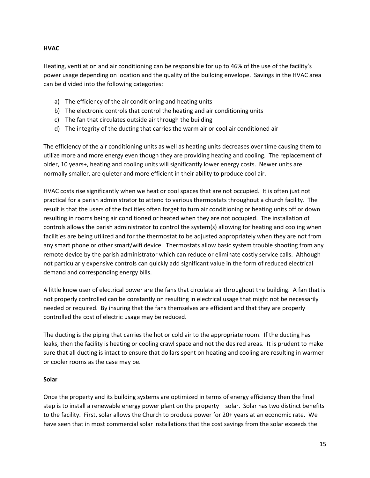#### **HVAC**

Heating, ventilation and air conditioning can be responsible for up to 46% of the use of the facility's power usage depending on location and the quality of the building envelope. Savings in the HVAC area can be divided into the following categories:

- a) The efficiency of the air conditioning and heating units
- b) The electronic controls that control the heating and air conditioning units
- c) The fan that circulates outside air through the building
- d) The integrity of the ducting that carries the warm air or cool air conditioned air

The efficiency of the air conditioning units as well as heating units decreases over time causing them to utilize more and more energy even though they are providing heating and cooling. The replacement of older, 10 years+, heating and cooling units will significantly lower energy costs. Newer units are normally smaller, are quieter and more efficient in their ability to produce cool air.

HVAC costs rise significantly when we heat or cool spaces that are not occupied. It is often just not practical for a parish administrator to attend to various thermostats throughout a church facility. The result is that the users of the facilities often forget to turn air conditioning or heating units off or down resulting in rooms being air conditioned or heated when they are not occupied. The installation of controls allows the parish administrator to control the system(s) allowing for heating and cooling when facilities are being utilized and for the thermostat to be adjusted appropriately when they are not from any smart phone or other smart/wifi device. Thermostats allow basic system trouble shooting from any remote device by the parish administrator which can reduce or eliminate costly service calls. Although not particularly expensive controls can quickly add significant value in the form of reduced electrical demand and corresponding energy bills.

A little know user of electrical power are the fans that circulate air throughout the building. A fan that is not properly controlled can be constantly on resulting in electrical usage that might not be necessarily needed or required. By insuring that the fans themselves are efficient and that they are properly controlled the cost of electric usage may be reduced.

The ducting is the piping that carries the hot or cold air to the appropriate room. If the ducting has leaks, then the facility is heating or cooling crawl space and not the desired areas. It is prudent to make sure that all ducting is intact to ensure that dollars spent on heating and cooling are resulting in warmer or cooler rooms as the case may be.

#### **Solar**

Once the property and its building systems are optimized in terms of energy efficiency then the final step is to install a renewable energy power plant on the property – solar. Solar has two distinct benefits to the facility. First, solar allows the Church to produce power for 20+ years at an economic rate. We have seen that in most commercial solar installations that the cost savings from the solar exceeds the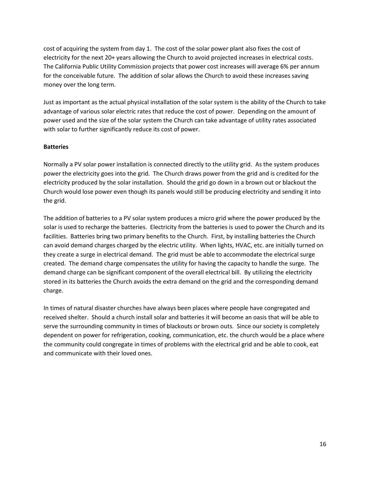cost of acquiring the system from day 1. The cost of the solar power plant also fixes the cost of electricity for the next 20+ years allowing the Church to avoid projected increases in electrical costs. The California Public Utility Commission projects that power cost increases will average 6% per annum for the conceivable future. The addition of solar allows the Church to avoid these increases saving money over the long term.

Just as important as the actual physical installation of the solar system is the ability of the Church to take advantage of various solar electric rates that reduce the cost of power. Depending on the amount of power used and the size of the solar system the Church can take advantage of utility rates associated with solar to further significantly reduce its cost of power.

#### **Batteries**

Normally a PV solar power installation is connected directly to the utility grid. As the system produces power the electricity goes into the grid. The Church draws power from the grid and is credited for the electricity produced by the solar installation. Should the grid go down in a brown out or blackout the Church would lose power even though its panels would still be producing electricity and sending it into the grid.

The addition of batteries to a PV solar system produces a micro grid where the power produced by the solar is used to recharge the batteries. Electricity from the batteries is used to power the Church and its facilities. Batteries bring two primary benefits to the Church. First, by installing batteries the Church can avoid demand charges charged by the electric utility. When lights, HVAC, etc. are initially turned on they create a surge in electrical demand. The grid must be able to accommodate the electrical surge created. The demand charge compensates the utility for having the capacity to handle the surge. The demand charge can be significant component of the overall electrical bill. By utilizing the electricity stored in its batteries the Church avoids the extra demand on the grid and the corresponding demand charge.

In times of natural disaster churches have always been places where people have congregated and received shelter. Should a church install solar and batteries it will become an oasis that will be able to serve the surrounding community in times of blackouts or brown outs. Since our society is completely dependent on power for refrigeration, cooking, communication, etc. the church would be a place where the community could congregate in times of problems with the electrical grid and be able to cook, eat and communicate with their loved ones.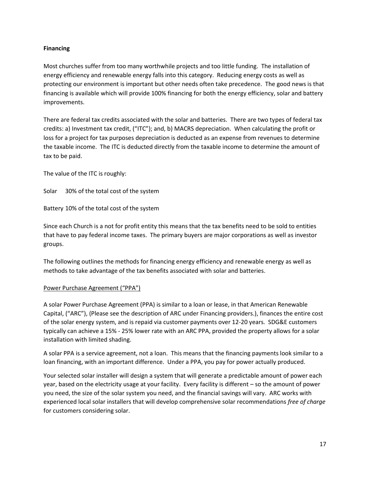#### **Financing**

Most churches suffer from too many worthwhile projects and too little funding. The installation of energy efficiency and renewable energy falls into this category. Reducing energy costs as well as protecting our environment is important but other needs often take precedence. The good news is that financing is available which will provide 100% financing for both the energy efficiency, solar and battery improvements.

There are federal tax credits associated with the solar and batteries. There are two types of federal tax credits: a) Investment tax credit, ("ITC"); and, b) MACRS depreciation. When calculating the profit or loss for a project for tax purposes depreciation is deducted as an expense from revenues to determine the taxable income. The ITC is deducted directly from the taxable income to determine the amount of tax to be paid.

The value of the ITC is roughly:

Solar 30% of the total cost of the system

Battery 10% of the total cost of the system

Since each Church is a not for profit entity this means that the tax benefits need to be sold to entities that have to pay federal income taxes. The primary buyers are major corporations as well as investor groups.

The following outlines the methods for financing energy efficiency and renewable energy as well as methods to take advantage of the tax benefits associated with solar and batteries.

#### Power Purchase Agreement ("PPA")

A solar Power Purchase Agreement (PPA) is similar to a loan or lease, in that American Renewable Capital, ("ARC"), (Please see the description of ARC under Financing providers.), finances the entire cost of the solar energy system, and is repaid via customer payments over 12-20 years. SDG&E customers typically can achieve a 15% - 25% lower rate with an ARC PPA, provided the property allows for a solar installation with limited shading.

A solar PPA is a service agreement, not a loan. This means that the financing payments look similar to a loan financing, with an important difference. Under a PPA, you pay for power actually produced.

Your selected solar installer will design a system that will generate a predictable amount of power each year, based on the electricity usage at your facility. Every facility is different – so the amount of power you need, the size of the solar system you need, and the financial savings will vary. ARC works with experienced local solar installers that will develop comprehensive solar recommendations *free of charge* for customers considering solar.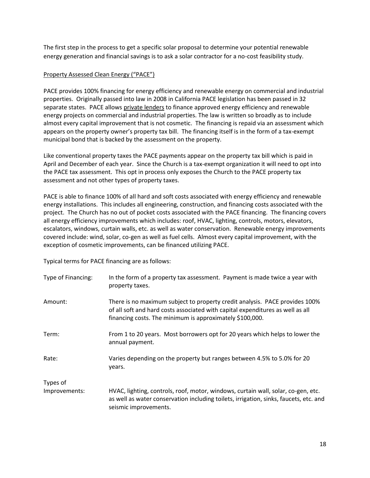The first step in the process to get a specific solar proposal to determine your potential renewable energy generation and financial savings is to ask a solar contractor for a no-cost feasibility study.

#### Property Assessed Clean Energy ("PACE")

PACE provides 100% financing for energy efficiency and renewable energy on commercial and industrial properties. Originally passed into law in 2008 in California PACE legislation has been passed in 32 separate states. PACE allows private lenders to finance approved energy efficiency and renewable energy projects on commercial and industrial properties. The law is written so broadly as to include almost every capital improvement that is not cosmetic. The financing is repaid via an assessment which appears on the property owner's property tax bill. The financing itself is in the form of a tax-exempt municipal bond that is backed by the assessment on the property.

Like conventional property taxes the PACE payments appear on the property tax bill which is paid in April and December of each year. Since the Church is a tax-exempt organization it will need to opt into the PACE tax assessment. This opt in process only exposes the Church to the PACE property tax assessment and not other types of property taxes.

PACE is able to finance 100% of all hard and soft costs associated with energy efficiency and renewable energy installations. This includes all engineering, construction, and financing costs associated with the project. The Church has no out of pocket costs associated with the PACE financing. The financing covers all energy efficiency improvements which includes: roof, HVAC, lighting, controls, motors, elevators, escalators, windows, curtain walls, etc. as well as water conservation. Renewable energy improvements covered include: wind, solar, co-gen as well as fuel cells. Almost every capital improvement, with the exception of cosmetic improvements, can be financed utilizing PACE.

Typical terms for PACE financing are as follows:

| Type of Financing: | In the form of a property tax assessment. Payment is made twice a year with<br>property taxes.                                                                                                                            |
|--------------------|---------------------------------------------------------------------------------------------------------------------------------------------------------------------------------------------------------------------------|
| Amount:            | There is no maximum subject to property credit analysis. PACE provides 100%<br>of all soft and hard costs associated with capital expenditures as well as all<br>financing costs. The minimum is approximately \$100,000. |
| Term:              | From 1 to 20 years. Most borrowers opt for 20 years which helps to lower the<br>annual payment.                                                                                                                           |
| Rate:              | Varies depending on the property but ranges between 4.5% to 5.0% for 20<br>years.                                                                                                                                         |
| Types of           |                                                                                                                                                                                                                           |
| Improvements:      | HVAC, lighting, controls, roof, motor, windows, curtain wall, solar, co-gen, etc.<br>as well as water conservation including toilets, irrigation, sinks, faucets, etc. and<br>seismic improvements.                       |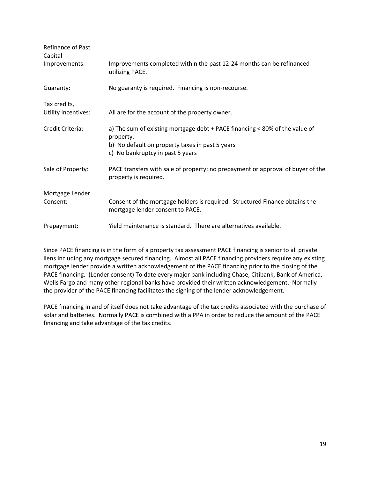| Refinance of Past<br>Capital |                                                                                                                                             |
|------------------------------|---------------------------------------------------------------------------------------------------------------------------------------------|
| Improvements:                | Improvements completed within the past 12-24 months can be refinanced<br>utilizing PACE.                                                    |
| Guaranty:                    | No guaranty is required. Financing is non-recourse.                                                                                         |
| Tax credits,                 |                                                                                                                                             |
| Utility incentives:          | All are for the account of the property owner.                                                                                              |
| Credit Criteria:             | a) The sum of existing mortgage debt + PACE financing < 80% of the value of<br>property.<br>b) No default on property taxes in past 5 years |
|                              | c) No bankruptcy in past 5 years                                                                                                            |
| Sale of Property:            | PACE transfers with sale of property; no prepayment or approval of buyer of the<br>property is required.                                    |
| Mortgage Lender              |                                                                                                                                             |
| Consent:                     | Consent of the mortgage holders is required. Structured Finance obtains the<br>mortgage lender consent to PACE.                             |
| Prepayment:                  | Yield maintenance is standard. There are alternatives available.                                                                            |

Since PACE financing is in the form of a property tax assessment PACE financing is senior to all private liens including any mortgage secured financing. Almost all PACE financing providers require any existing mortgage lender provide a written acknowledgement of the PACE financing prior to the closing of the PACE financing. (Lender consent) To date every major bank including Chase, Citibank, Bank of America, Wells Fargo and many other regional banks have provided their written acknowledgement. Normally the provider of the PACE financing facilitates the signing of the lender acknowledgement.

PACE financing in and of itself does not take advantage of the tax credits associated with the purchase of solar and batteries. Normally PACE is combined with a PPA in order to reduce the amount of the PACE financing and take advantage of the tax credits.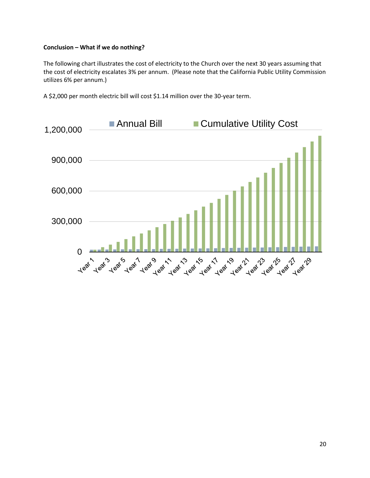#### **Conclusion – What if we do nothing?**

The following chart illustrates the cost of electricity to the Church over the next 30 years assuming that the cost of electricity escalates 3% per annum. (Please note that the California Public Utility Commission utilizes 6% per annum.)

A \$2,000 per month electric bill will cost \$1.14 million over the 30-year term.

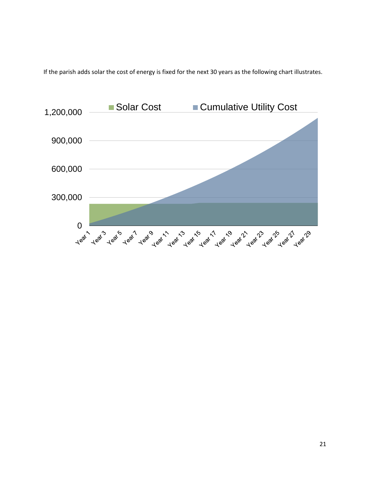If the parish adds solar the cost of energy is fixed for the next 30 years as the following chart illustrates.

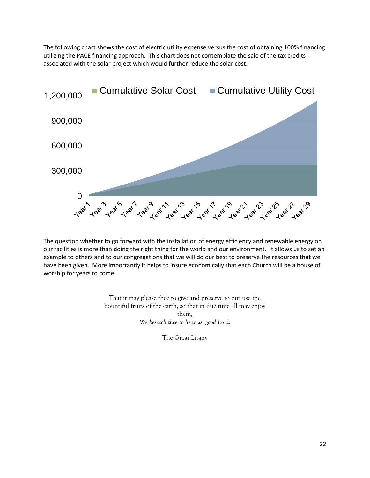The following chart shows the cost of electric utility expense versus the cost of obtaining 100% financing utilizing the PACE financing approach. This chart does not contemplate the sale of the tax credits associated with the solar project which would further reduce the solar cost.



The question whether to go forward with the installation of energy efficiency and renewable energy on our facilities is more than doing the right thing for the world and our environment. It allows us to set an example to others and to our congregations that we will do our best to preserve the resources that we have been given. More importantly it helps to insure economically that each Church will be a house of worship for years to come.

> That it may please thee to give and preserve to our use the bountiful fruits of the earth, so that in due time all may enjoy them, *We beseech thee to hear us, good Lord.*

> > The Great Litany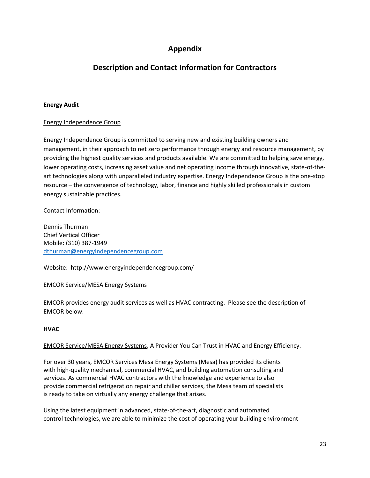## **Appendix**

## **Description and Contact Information for Contractors**

#### **Energy Audit**

#### Energy Independence Group

Energy Independence Group is committed to serving new and existing building owners and management, in their approach to net zero performance through energy and resource management, by providing the highest quality services and products available. We are committed to helping save energy, lower operating costs, increasing asset value and net operating income through innovative, state-of-theart technologies along with unparalleled industry expertise. Energy Independence Group is the one-stop resource – the convergence of technology, labor, finance and highly skilled professionals in custom energy sustainable practices.

Contact Information:

Dennis Thurman Chief Vertical Officer Mobile: (310) 387-1949 [dthurman@energyindependencegroup.com](mailto:dthurman@energyindependencegroup.com)

Website: http://www.energyindependencegroup.com/

#### EMCOR Service/MESA Energy Systems

EMCOR provides energy audit services as well as HVAC contracting. Please see the description of EMCOR below.

#### **HVAC**

#### EMCOR Service/MESA Energy Systems, A Provider You Can Trust in HVAC and Energy Efficiency.

For over 30 years, EMCOR Services Mesa Energy Systems (Mesa) has provided its clients with high-quality mechanical, commercial HVAC, and building automation consulting and services. As commercial HVAC contractors with the knowledge and experience to also provide commercial refrigeration repair and chiller services, the Mesa team of specialists is ready to take on virtually any energy challenge that arises.

Using the latest equipment in advanced, state-of-the-art, diagnostic and automated control technologies, we are able to minimize the cost of operating your building environment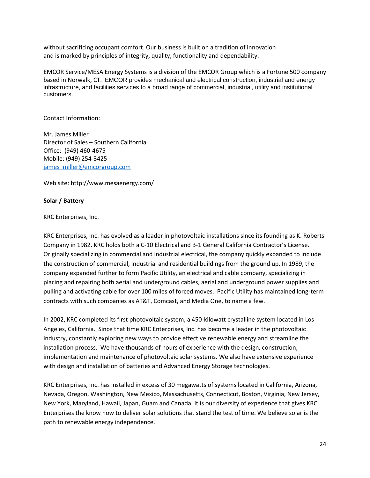without sacrificing occupant comfort. Our business is built on a tradition of innovation and is marked by principles of integrity, quality, functionality and dependability.

EMCOR Service/MESA Energy Systems is a division of the EMCOR Group which is a Fortune 500 company based in Norwalk, CT. EMCOR provides mechanical and electrical construction, industrial and energy infrastructure, and facilities services to a broad range of commercial, industrial, utility and institutional customers.

Contact Information:

Mr. James Miller Director of Sales – Southern California Office: (949) 460-4675 Mobile: (949) 254-3425 [james\\_miller@emcorgroup.com](mailto:james_miller@emcorgroup.com)

Web site: http://www.mesaenergy.com/

#### **Solar / Battery**

#### KRC Enterprises, Inc.

KRC Enterprises, Inc. has evolved as a leader in photovoltaic installations since its founding as K. Roberts Company in 1982. KRC holds both a C-10 Electrical and B-1 General California Contractor's License. Originally specializing in commercial and industrial electrical, the company quickly expanded to include the construction of commercial, industrial and residential buildings from the ground up. In 1989, the company expanded further to form Pacific Utility, an electrical and cable company, specializing in placing and repairing both aerial and underground cables, aerial and underground power supplies and pulling and activating cable for over 100 miles of forced moves. Pacific Utility has maintained long-term contracts with such companies as AT&T, Comcast, and Media One, to name a few.

In 2002, KRC completed its first photovoltaic system, a 450-kilowatt crystalline system located in Los Angeles, California. Since that time KRC Enterprises, Inc. has become a leader in the photovoltaic industry, constantly exploring new ways to provide effective renewable energy and streamline the installation process. We have thousands of hours of experience with the design, construction, implementation and maintenance of photovoltaic solar systems. We also have extensive experience with design and installation of batteries and Advanced Energy Storage technologies.

KRC Enterprises, Inc. has installed in excess of 30 megawatts of systems located in California, Arizona, Nevada, Oregon, Washington, New Mexico, Massachusetts, Connecticut, Boston, Virginia, New Jersey, New York, Maryland, Hawaii, Japan, Guam and Canada. It is our diversity of experience that gives KRC Enterprises the know how to deliver solar solutions that stand the test of time. We believe solar is the path to renewable energy independence.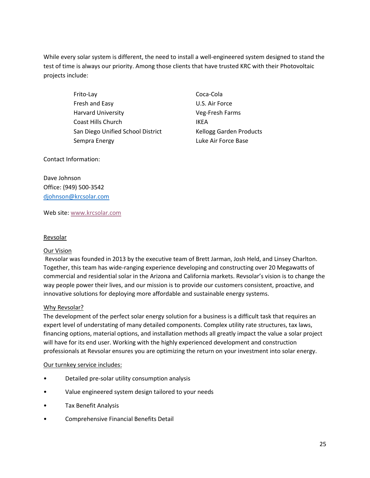While every solar system is different, the need to install a well-engineered system designed to stand the test of time is always our priority. Among those clients that have trusted KRC with their Photovoltaic projects include:

> Frito-Lay Coca-Cola Fresh and Easy **U.S. Air Force**  Harvard University Veg-Fresh Farms Coast Hills Church **IKEA** San Diego Unified School District Kellogg Garden Products Sempra Energy **Luke Air Force Base**

Contact Information:

Dave Johnson Office: (949) 500-3542 [djohnson@krcsolar.com](mailto:djohnson@krcsolar.com)

Web site: [www.krcsolar.com](http://www.krcsolar.com/)

#### Revsolar

#### Our Vision

Revsolar was founded in 2013 by the executive team of Brett Jarman, Josh Held, and Linsey Charlton. Together, this team has wide-ranging experience developing and constructing over 20 Megawatts of commercial and residential solar in the Arizona and California markets. Revsolar's vision is to change the way people power their lives, and our mission is to provide our customers consistent, proactive, and innovative solutions for deploying more affordable and sustainable energy systems.

#### Why Revsolar?

The development of the perfect solar energy solution for a business is a difficult task that requires an expert level of understating of many detailed components. Complex utility rate structures, tax laws, financing options, material options, and installation methods all greatly impact the value a solar project will have for its end user. Working with the highly experienced development and construction professionals at Revsolar ensures you are optimizing the return on your investment into solar energy.

#### Our turnkey service includes:

- Detailed pre-solar utility consumption analysis
- Value engineered system design tailored to your needs
- Tax Benefit Analysis
- Comprehensive Financial Benefits Detail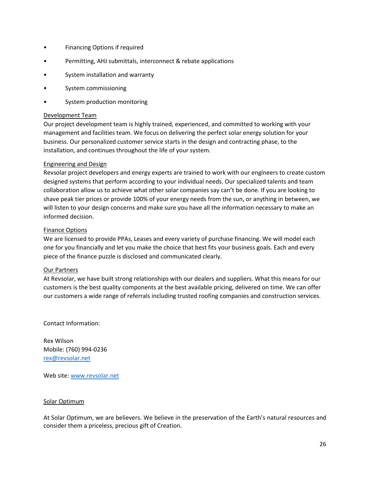- Financing Options if required
- Permitting, AHJ submittals, interconnect & rebate applications
- System installation and warranty
- System commissioning
- System production monitoring

#### Development Team

Our project development team is highly trained, experienced, and committed to working with your management and facilities team. We focus on delivering the perfect solar energy solution for your business. Our personalized customer service starts in the design and contracting phase, to the installation, and continues throughout the life of your system.

#### Engineering and Design

Revsolar project developers and energy experts are trained to work with our engineers to create custom designed systems that perform according to your individual needs. Our specialized talents and team collaboration allow us to achieve what other solar companies say can't be done. If you are looking to shave peak tier prices or provide 100% of your energy needs from the sun, or anything in between, we will listen to your design concerns and make sure you have all the information necessary to make an informed decision.

#### Finance Options

We are licensed to provide PPAs, Leases and every variety of purchase financing. We will model each one for you financially and let you make the choice that best fits your business goals. Each and every piece of the finance puzzle is disclosed and communicated clearly.

#### Our Partners

At Revsolar, we have built strong relationships with our dealers and suppliers. What this means for our customers is the best quality components at the best available pricing, delivered on time. We can offer our customers a wide range of referrals including trusted roofing companies and construction services.

Contact Information:

Rex Wilson Mobile: (760) 994-0236 [rex@revsolar.net](mailto:rex@revsolar.net)

Web site: [www.revsolar.net](http://www.revsolar.net/)

#### Solar Optimum

At Solar Optimum, we are believers. We believe in the preservation of the Earth's natural resources and consider them a priceless, precious gift of Creation.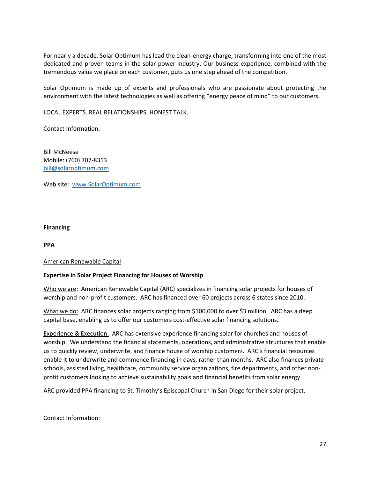For nearly a decade, Solar Optimum has lead the clean-energy charge, transforming into one of the most dedicated and proven teams in the solar-power industry. Our business experience, combined with the tremendous value we place on each customer, puts us one step ahead of the competition.

Solar Optimum is made up of experts and professionals who are passionate about protecting the environment with the latest technologies as well as offering "energy peace of mind" to our customers.

LOCAL EXPERTS. REAL RELATIONSHIPS. HONEST TALK.

Contact Information:

Bill McNeese Mobile: (760) 707-8313 [bill@solaroptimum.com](mailto:bill@solaroptimum.com)

Web site: [www.SolarOptimum.com](http://www.solaroptimum.com/)

#### **Financing**

**PPA** 

#### American Renewable Capital

#### **Expertise in Solar Project Financing for Houses of Worship**

Who we are: American Renewable Capital (ARC) specializes in financing solar projects for houses of worship and non-profit customers. ARC has financed over 60 projects across 6 states since 2010.

What we do: ARC finances solar projects ranging from \$100,000 to over \$3 million. ARC has a deep capital base, enabling us to offer our customers cost-effective solar financing solutions.

Experience & Execution: ARC has extensive experience financing solar for churches and houses of worship. We understand the financial statements, operations, and administrative structures that enable us to quickly review, underwrite, and finance house of worship customers. ARC's financial resources enable it to underwrite and commence financing in days, rather than months. ARC also finances private schools, assisted living, healthcare, community service organizations, fire departments, and other nonprofit customers looking to achieve sustainability goals and financial benefits from solar energy.

ARC provided PPA financing to St. Timothy's Episcopal Church in San Diego for their solar project.

Contact Information: